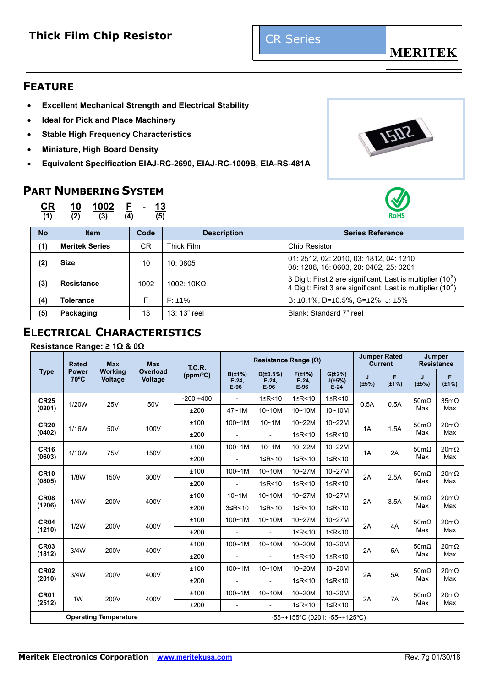# **Thick Film Chip Resistor Film Chip Resistor Example 20 Inches**



## **FEATURE**

- **Excellent Mechanical Strength and Electrical Stability**
- **Ideal for Pick and Place Machinery**
- **Stable High Frequency Characteristics**
- **Miniature, High Board Density**
- **Equivalent Specification EIAJ-RC-2690, EIAJ-RC-1009B, EIA-RS-481A**

# **PART NUMBERING SYSTEM**



**(1) (2) (3) (4) (5)**





| <b>No</b> | <b>Item</b>                      | Code | <b>Description</b> | <b>Series Reference</b>                                                                                                                  |  |  |
|-----------|----------------------------------|------|--------------------|------------------------------------------------------------------------------------------------------------------------------------------|--|--|
| (1)       | <b>Meritek Series</b>            | CR.  | Thick Film         | Chip Resistor                                                                                                                            |  |  |
| (2)       | <b>Size</b><br>10:0805<br>10     |      |                    | 01: 2512, 02: 2010, 03: 1812, 04: 1210<br>08: 1206, 16: 0603, 20: 0402, 25: 0201                                                         |  |  |
| (3)       | <b>Resistance</b>                | 1002 | 1002: $10K\Omega$  | 3 Digit: First 2 are significant, Last is multiplier $(10^x)$<br>4 Digit: First 3 are significant, Last is multiplier (10 <sup>x</sup> ) |  |  |
| (4)       | <b>Tolerance</b><br>$F: \pm 1\%$ |      |                    | B: $\pm 0.1\%$ , D= $\pm 0.5\%$ , G= $\pm 2\%$ , J: $\pm 5\%$                                                                            |  |  |
| (5)       | Packaging                        | 13   | 13: 13" reel       | Blank: Standard 7" reel                                                                                                                  |  |  |

# **ELECTRICAL CHARACTERISTICS**

### **Resistance Range: ≥ 1Ω & 0Ω**

|                  | <b>Rated</b>                   | <b>Max</b>                       | <b>Max</b><br>T.C.R.              |              |                                  | Resistance Range $(\Omega)$    |                                     |                                  |            | <b>Jumper Rated</b><br><b>Current</b> |                     | Jumper<br><b>Resistance</b> |             |
|------------------|--------------------------------|----------------------------------|-----------------------------------|--------------|----------------------------------|--------------------------------|-------------------------------------|----------------------------------|------------|---------------------------------------|---------------------|-----------------------------|-------------|
| <b>Type</b>      | <b>Power</b><br>$70^{\circ}$ C | <b>Working</b><br><b>Voltage</b> | <b>Overload</b><br><b>Voltage</b> | (ppm/°C)     | $B(\pm 1\%)$<br>$E-24$<br>$E-96$ | D(±0.5%)<br>$E-24$ ,<br>$E-96$ | $F(\pm 1\%)$<br>$E-24$ ,<br>$E-96$  | $G(\pm 2\%)$<br>J(±5%)<br>$E-24$ | J<br>(±5%) | F<br>$(\pm 1\%)$                      | J<br>$(\pm 5\%)$    | F<br>$(\pm 1\%)$            |             |
| <b>CR25</b>      | 1/20W                          | 25V                              | 50V                               | $-200 + 400$ | $\blacksquare$                   | 1≤R<10                         | 1≤R<10                              | 1≤R<10                           | 0.5A       | 0.5A                                  | $50m\Omega$         | $35m\Omega$                 |             |
| (0201)           |                                |                                  |                                   | ±200         | $47 - 1M$                        | $10 - 10M$                     | $10 - 10M$                          | $10 - 10M$                       |            |                                       | Max                 | Max                         |             |
| <b>CR20</b>      | 1/16W                          | 50V                              | 100V                              | ±100         | $100 - 1M$                       | 10~1M                          | 10~22M                              | 10~22M                           | 1A         | 1.5A                                  | $50m\Omega$         | $20m\Omega$                 |             |
| (0402)           |                                |                                  |                                   | ±200         | $\sim$                           | $\blacksquare$                 | 1≤R<10                              | 1≤R<10                           |            |                                       | Max                 | Max                         |             |
| <b>CR16</b>      | 1/10W                          | 75V                              | 150V                              | ±100         | $100 - 1M$                       | 10~1M                          | $10 - 22M$                          | $10 - 22M$                       | 1A         | 2A                                    | $50m\Omega$         | $20m\Omega$                 |             |
| (0603)           |                                |                                  |                                   | ±200         |                                  | 1≤R<10                         | 1≤R<10                              | 1≤R<10                           |            |                                       | Max                 | Max                         |             |
| <b>CR10</b>      | 1/8W                           | 150V                             |                                   | 300V         | ±100                             | $100 - 1M$                     | $10 - 10M$                          | 10~27M                           | $10 - 27M$ | 2A                                    | 2.5A                | $50m\Omega$                 | $20m\Omega$ |
| (0805)           |                                |                                  |                                   | ±200         | $\blacksquare$                   | 1≤R<10                         | 1≤R<10                              | 1≤R<10                           |            |                                       | Max                 | Max                         |             |
| <b>CR08</b>      | 1/4W                           | 200V                             | 400V                              | ±100         | $10 - 1M$                        | $10 - 10M$                     | 10~27M                              | 10~27M                           | 2A         | 3.5A                                  | $50m\Omega$<br>Max  | $20 \text{m}\Omega$         |             |
| (1206)           |                                |                                  |                                   | ±200         | $3 \leq R \leq 10$               | 1≤R<10                         | 1≤R<10                              | 1≤R<10                           |            |                                       |                     | Max                         |             |
| CR <sub>04</sub> | 1/2W                           | 200V                             | 400V                              | ±100         | $100 - 1M$                       | $10 - 10M$                     | 10~27M                              | $10 - 27M$                       | 2A         | 4A                                    | $50m\Omega$         | $20m\Omega$                 |             |
| (1210)           |                                |                                  |                                   | ±200         | $\blacksquare$                   | $\blacksquare$                 | 1≤R<10                              | 1≤R<10                           |            |                                       | Max                 | Max                         |             |
| CR <sub>03</sub> | 3/4W                           | 200V                             | 400V                              | ±100         | $100 - 1M$                       | $10 - 10M$                     | 10~20M                              | 10~20M                           | 2A         | 5A                                    | $50m\Omega$         | $20 \text{m}\Omega$         |             |
| (1812)           |                                |                                  |                                   | ±200         | $\blacksquare$                   | $\blacksquare$                 | 1≤R<10                              | 1≤R<10                           |            |                                       | Max                 | Max                         |             |
| <b>CR02</b>      | 3/4W                           | 200V                             | 400V                              | ±100         | $100 - 1M$                       | $10 - 10M$                     | 10~20M                              | $10 - 20M$                       | 2A         | 5A                                    | $50 \text{m}\Omega$ | $20m\Omega$<br>Max          |             |
| (2010)           |                                |                                  |                                   | ±200         |                                  | $\overline{a}$                 | 1≤R<10                              | 1≤R<10                           |            |                                       | Max                 |                             |             |
| CR <sub>01</sub> | 1W                             |                                  |                                   | ±100         | $100 - 1M$                       | $10 - 10M$                     | 10~20M                              | 10~20M                           | 2A         | 7A                                    | $50m\Omega$         | $20m\Omega$                 |             |
| (2512)           |                                | 200V                             | 400V                              | ±200         | $\blacksquare$                   | $\blacksquare$                 | 1≤R<10                              | 1≤R<10                           |            |                                       | Max                 | Max                         |             |
|                  |                                | <b>Operating Temperature</b>     |                                   |              |                                  |                                | $-55$ ~+155°C (0201: $-55$ ~+125°C) |                                  |            |                                       |                     |                             |             |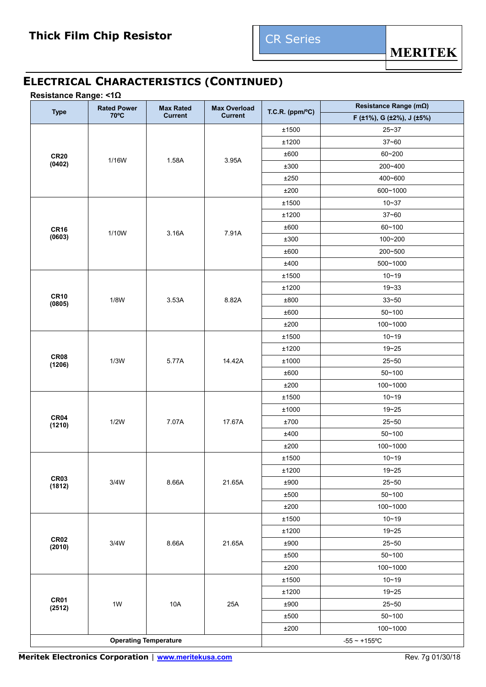# **ELECTRICAL CHARACTERISTICS (CONTINUED)**

### **Resistance Range: <1Ω**

| <b>Type</b>           | <b>Rated Power</b> | <b>Max Rated</b>             | <b>Max Overload</b> | T.C.R. ( $ppm/°C$ ) | Resistance Range (mΩ)     |  |
|-----------------------|--------------------|------------------------------|---------------------|---------------------|---------------------------|--|
|                       | 70°C               | <b>Current</b>               | <b>Current</b>      |                     | F (±1%), G (±2%), J (±5%) |  |
|                       |                    |                              |                     | ±1500               | $25 - 37$                 |  |
|                       |                    |                              |                     | ±1200               | $37 - 60$                 |  |
| <b>CR20</b>           | 1/16W              | 1.58A                        | 3.95A               | ±600                | 60~200                    |  |
| (0402)                |                    |                              |                     | ±300                | 200~400                   |  |
|                       |                    |                              |                     | ±250                | 400~600                   |  |
|                       |                    |                              |                     | ±200                | 600~1000                  |  |
|                       |                    |                              |                     | ±1500               | $10 - 37$                 |  |
|                       |                    |                              |                     | ±1200               | $37 - 60$                 |  |
| <b>CR16</b>           | 1/10W              | 3.16A                        | 7.91A               | ±600                | 60~100                    |  |
| (0603)                |                    |                              |                     | ±300                | 100~200                   |  |
|                       |                    |                              |                     | ±600                | 200~500                   |  |
|                       |                    |                              |                     | ±400                | 500~1000                  |  |
|                       |                    |                              |                     | ±1500               | $10 - 19$                 |  |
|                       |                    |                              | 8.82A               | ±1200               | $19 - 33$                 |  |
| <b>CR10</b><br>(0805) | 1/8W               | 3.53A                        |                     | ±800                | $33 - 50$                 |  |
|                       |                    |                              |                     | ±600                | $50 - 100$                |  |
|                       |                    |                              |                     | ±200                | 100~1000                  |  |
|                       |                    |                              |                     | ±1500               | $10 - 19$                 |  |
|                       |                    |                              |                     | ±1200               | $19 - 25$                 |  |
| <b>CR08</b><br>(1206) | 1/3W               | 5.77A                        | 14.42A              | $\pm 1000$          | $25 - 50$                 |  |
|                       |                    |                              |                     | ±600                | $50 - 100$                |  |
|                       |                    |                              |                     | ±200                | 100~1000                  |  |
|                       |                    | 7.07A                        | 17.67A              | ±1500               | $10 - 19$                 |  |
|                       |                    |                              |                     | $\pm 1000$          | $19 - 25$                 |  |
| CR04<br>(1210)        | 1/2W               |                              |                     | ±700                | $25 - 50$                 |  |
|                       |                    |                              |                     | ±400                | $50 - 100$                |  |
|                       |                    |                              |                     | ±200                | 100~1000                  |  |
|                       |                    |                              |                     | ±1500               | $10 - 19$                 |  |
|                       |                    |                              |                     | ±1200               | $19 - 25$                 |  |
| CR03<br>(1812)        | 3/4W               | 8.66A                        | 21.65A              | $\pm 900$           | $25 - 50$                 |  |
|                       |                    |                              |                     | ±500                | $50 - 100$                |  |
|                       |                    |                              |                     | ±200                | 100~1000                  |  |
|                       |                    |                              |                     | ±1500               | $10 - 19$                 |  |
|                       |                    |                              |                     | ±1200               | $19 - 25$                 |  |
| <b>CR02</b><br>(2010) | 3/4W               | 8.66A                        | 21.65A              | ±900                | $25 - 50$                 |  |
|                       |                    |                              |                     | ±500                | $50 - 100$                |  |
|                       |                    |                              |                     | ±200                | 100~1000                  |  |
|                       |                    |                              |                     | ±1500               | $10 - 19$                 |  |
|                       |                    |                              |                     | ±1200               | $19 - 25$                 |  |
| <b>CR01</b><br>(2512) | $1W$               | 10A                          | 25A                 | ±900                | $25 - 50$                 |  |
|                       |                    |                              |                     | ±500                | $50 - 100$                |  |
|                       |                    |                              |                     | $\pm 200$           | 100~1000                  |  |
|                       |                    | <b>Operating Temperature</b> | $-55 - +155$ °C     |                     |                           |  |

**Meritek Electronics Corporation** | **[www.meritekusa.com](http://www.meritekusa.com/)** Rev. 7g 01/30/18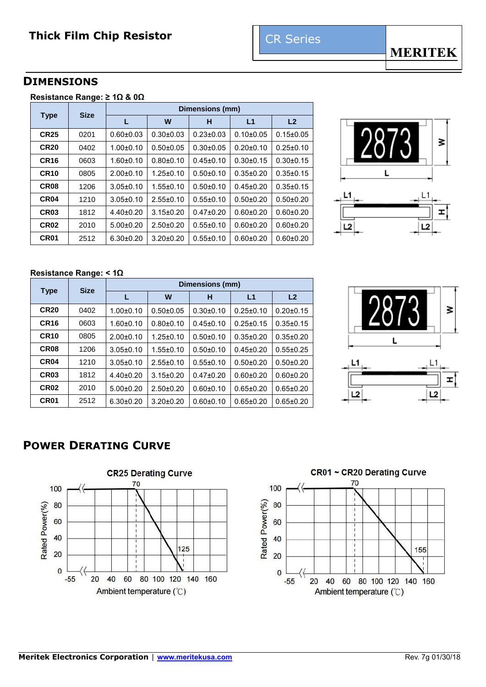## **DIMENSIONS**

| Resistance Range: ≥ 1Ω & 0Ω |  |  |
|-----------------------------|--|--|
|                             |  |  |

|                  | <b>Size</b>                                  | Dimensions (mm) |                 |                 |                 |                 |  |  |  |  |
|------------------|----------------------------------------------|-----------------|-----------------|-----------------|-----------------|-----------------|--|--|--|--|
| <b>Type</b>      |                                              |                 | W               | н               | L1              | L <sub>2</sub>  |  |  |  |  |
| <b>CR25</b>      | 0201                                         | $0.60 + 0.03$   | $0.30 + 0.03$   | $0.23 \pm 0.03$ | $0.10 + 0.05$   | $0.15 \pm 0.05$ |  |  |  |  |
| <b>CR20</b>      | 0402                                         | $1.00 + 0.10$   | $0.50 + 0.05$   | $0.30 + 0.05$   | $0.20 + 0.10$   | $0.25 \pm 0.10$ |  |  |  |  |
| <b>CR16</b>      | $1.60 + 0.10$<br>0603<br>0805<br>$2.00+0.10$ |                 | $0.80 + 0.10$   | $0.45 \pm 0.10$ | $0.30 + 0.15$   | $0.30 + 0.15$   |  |  |  |  |
| <b>CR10</b>      |                                              |                 | $1.25 \pm 0.10$ | $0.50 + 0.10$   | $0.35 \pm 0.20$ | $0.35 \pm 0.15$ |  |  |  |  |
| CR <sub>08</sub> | 1206                                         | $3.05 \pm 0.10$ | $1.55 \pm 0.10$ | $0.50 + 0.10$   | $0.45 \pm 0.20$ | $0.35 \pm 0.15$ |  |  |  |  |
| CR <sub>04</sub> | 1210                                         | $3.05 \pm 0.10$ | $2.55 \pm 0.10$ | $0.55 \pm 0.10$ | $0.50 + 0.20$   | $0.50 + 0.20$   |  |  |  |  |
| CR <sub>03</sub> | 1812                                         | $4.40 \pm 0.20$ | $3.15 \pm 0.20$ | $0.47 \pm 0.20$ | $0.60 + 0.20$   | $0.60 + 0.20$   |  |  |  |  |
| <b>CR02</b>      | 2010                                         | $5.00+0.20$     | $2.50+0.20$     | $0.55 \pm 0.10$ | $0.60 + 0.20$   | $0.60 + 0.20$   |  |  |  |  |
| CR <sub>01</sub> | 2512                                         | $6.30\pm0.20$   | $3.20 \pm 0.20$ | $0.55 \pm 0.10$ | $0.60 + 0.20$   | $0.60 + 0.20$   |  |  |  |  |



#### **Resistance Range: < 1Ω**

|                  | <b>Size</b>                                  |                 | Dimensions (mm) |                 |                 |                 |  |  |  |  |  |
|------------------|----------------------------------------------|-----------------|-----------------|-----------------|-----------------|-----------------|--|--|--|--|--|
| <b>Type</b>      |                                              |                 | W               | н               | L1              | L <sub>2</sub>  |  |  |  |  |  |
| <b>CR20</b>      | 0402                                         | $1.00 + 0.10$   | $0.50 + 0.05$   | $0.30 + 0.10$   | $0.25 \pm 0.10$ | $0.20 \pm 0.15$ |  |  |  |  |  |
| <b>CR16</b>      | 0603<br>$1.60 + 0.10$<br>0805<br>$2.00+0.10$ |                 | $0.80 + 0.10$   | $0.45 \pm 0.10$ | $0.25 \pm 0.15$ | $0.35 \pm 0.15$ |  |  |  |  |  |
| <b>CR10</b>      |                                              |                 | $1.25 \pm 0.10$ | $0.50 + 0.10$   | $0.35 \pm 0.20$ | $0.35 \pm 0.20$ |  |  |  |  |  |
| CR <sub>08</sub> | 1206                                         | $3.05 \pm 0.10$ | $1.55 \pm 0.10$ | $0.50 + 0.10$   | $0.45 \pm 0.20$ | $0.55 \pm 0.25$ |  |  |  |  |  |
| CR <sub>04</sub> | 1210                                         | $3.05 \pm 0.10$ | $2.55 \pm 0.10$ | $0.55 \pm 0.10$ | $0.50 + 0.20$   | $0.50 + 0.20$   |  |  |  |  |  |
| CR <sub>03</sub> | 1812                                         | $4.40 \pm 0.20$ | $3.15 \pm 0.20$ | $0.47 + 0.20$   | $0.60 + 0.20$   | $0.60 + 0.20$   |  |  |  |  |  |
| <b>CR02</b>      | 2010                                         | $5.00+0.20$     | $2.50+0.20$     | $0.60 + 0.10$   | $0.65 \pm 0.20$ | $0.65 \pm 0.20$ |  |  |  |  |  |
| CR <sub>01</sub> | 2512                                         | $6.30 \pm 0.20$ | $3.20 \pm 0.20$ | $0.60 + 0.10$   | $0.65 \pm 0.20$ | $0.65 \pm 0.20$ |  |  |  |  |  |



# **POWER DERATING CURVE**



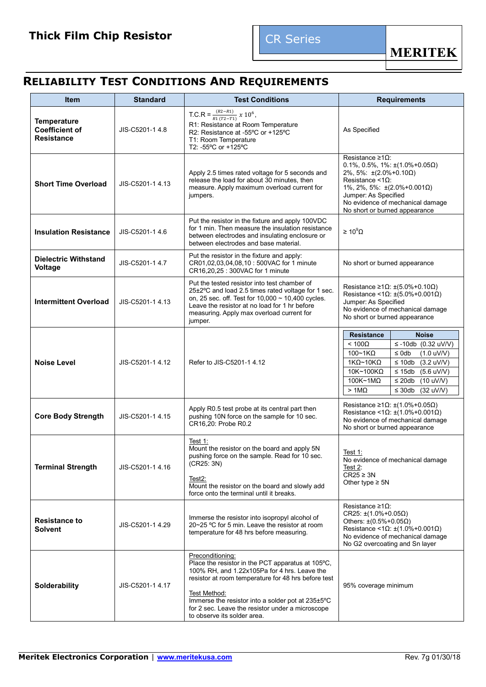

# **RELIABILITY TEST CONDITIONS AND REQUIREMENTS**

| <b>Item</b>                                                      | <b>Standard</b><br><b>Test Conditions</b> |                                                                                                                                                                                                                                                                                                                                      | <b>Requirements</b>                                                                                                                                                                                                                                                                                                                     |  |  |  |
|------------------------------------------------------------------|-------------------------------------------|--------------------------------------------------------------------------------------------------------------------------------------------------------------------------------------------------------------------------------------------------------------------------------------------------------------------------------------|-----------------------------------------------------------------------------------------------------------------------------------------------------------------------------------------------------------------------------------------------------------------------------------------------------------------------------------------|--|--|--|
| <b>Temperature</b><br><b>Coefficient of</b><br><b>Resistance</b> | JIS-C5201-1 4.8                           | T.C.R = $\frac{(R2 - R1)}{R1 (T2 - T1)} x 10^6$ ,<br>R1: Resistance at Room Temperature<br>R2: Resistance at -55°C or +125°C<br>T1: Room Temperature<br>T2: -55°C or +125°C                                                                                                                                                          | As Specified                                                                                                                                                                                                                                                                                                                            |  |  |  |
| <b>Short Time Overload</b>                                       | JIS-C5201-14.13                           | Apply 2.5 times rated voltage for 5 seconds and<br>release the load for about 30 minutes, then<br>measure. Apply maximum overload current for<br>jumpers.                                                                                                                                                                            | Resistance ≥1Ω:<br>$0.1\%$ , $0.5\%$ , $1\%$ : $\pm(1.0\% + 0.05\Omega)$<br>$2\%$ , 5%: $\pm(2.0\% + 0.10\Omega)$<br>Resistance $<1$ $\Omega$ :<br>1%, 2%, 5%: $\pm(2.0\%+0.001\Omega)$<br>Jumper: As Specified<br>No evidence of mechanical damage<br>No short or burned appearance                                                    |  |  |  |
| <b>Insulation Resistance</b>                                     | JIS-C5201-1 4.6                           | Put the resistor in the fixture and apply 100VDC<br>for 1 min. Then measure the insulation resistance<br>between electrodes and insulating enclosure or<br>between electrodes and base material.                                                                                                                                     | $\geq 10^9 \Omega$                                                                                                                                                                                                                                                                                                                      |  |  |  |
| <b>Dielectric Withstand</b><br><b>Voltage</b>                    | JIS-C5201-14.7                            | Put the resistor in the fixture and apply:<br>CR01,02,03,04,08,10 : 500VAC for 1 minute<br>CR16,20,25:300VAC for 1 minute                                                                                                                                                                                                            | No short or burned appearance                                                                                                                                                                                                                                                                                                           |  |  |  |
| <b>Intermittent Overload</b>                                     | JIS-C5201-1 4.13                          | Put the tested resistor into test chamber of<br>25±2°C and load 2.5 times rated voltage for 1 sec.<br>on, 25 sec. off. Test for $10,000 \sim 10,400$ cycles.<br>Leave the resistor at no load for 1 hr before<br>measuring. Apply max overload current for<br>jumper.                                                                | Resistance $\geq 1$ $\Omega$ : $\pm (5.0\% + 0.10\Omega)$<br>Resistance <1 $\Omega$ : ±(5.0%+0.001 $\Omega$ )<br>Jumper: As Specified<br>No evidence of mechanical damage<br>No short or burned appearance                                                                                                                              |  |  |  |
| <b>Noise Level</b><br>JIS-C5201-1 4.12                           |                                           | Refer to JIS-C5201-1 4.12                                                                                                                                                                                                                                                                                                            | <b>Noise</b><br><b>Resistance</b><br>$< 100\Omega$<br>≤ -10db $(0.32 \text{ uV/V})$<br>$100 - 1K\Omega$<br>$\leq$ 0db<br>$(1.0 \text{ uV/V})$<br>$1K\Omega$ ~10K $\Omega$<br>$\leq 10db$<br>$(3.2$ uV/V)<br>10K~100KΩ<br>$\leq 15$ db<br>$(5.6$ uV/V)<br>100K~1MΩ<br>$\leq$ 20db<br>$(10$ uV/V)<br>$>1M\Omega$<br>$\leq$ 30db (32 uV/V) |  |  |  |
| <b>Core Body Strength</b>                                        | JIS-C5201-1 4.15                          | Apply R0.5 test probe at its central part then<br>pushing 10N force on the sample for 10 sec.<br>CR16,20: Probe R0.2                                                                                                                                                                                                                 | Resistance $\geq 1\Omega$ : $\pm (1.0\% + 0.05\Omega)$<br>Resistance <1 $\Omega$ : ±(1.0%+0.001 $\Omega$ )<br>No evidence of mechanical damage<br>No short or burned appearance                                                                                                                                                         |  |  |  |
| <b>Terminal Strength</b>                                         | JIS-C5201-14.16                           | Test 1:<br>Mount the resistor on the board and apply 5N<br>pushing force on the sample. Read for 10 sec.<br>(CR25: 3N)<br>Test <sub>2</sub> :<br>Mount the resistor on the board and slowly add<br>force onto the terminal until it breaks.                                                                                          | Test $1$ :<br>No evidence of mechanical damage<br>Test 2:<br>$CR25 \geq 3N$<br>Other type $\geq$ 5N                                                                                                                                                                                                                                     |  |  |  |
| <b>Resistance to</b><br><b>Solvent</b>                           | JIS-C5201-1 4.29                          | Immerse the resistor into isopropyl alcohol of<br>20~25 °C for 5 min. Leave the resistor at room<br>temperature for 48 hrs before measuring.                                                                                                                                                                                         | Resistance ≥1Ω:<br>$CR25: \pm (1.0\% + 0.05\Omega)$<br>Others: ±(0.5%+0.05Ω)<br>Resistance <1 $\Omega$ : ±(1.0%+0.001 $\Omega$ )<br>No evidence of mechanical damage<br>No G2 overcoating and Sn layer                                                                                                                                  |  |  |  |
| Solderability                                                    | JIS-C5201-1 4.17                          | Preconditioning:<br>Place the resistor in the PCT apparatus at 105°C,<br>100% RH, and 1.22x105Pa for 4 hrs. Leave the<br>resistor at room temperature for 48 hrs before test<br>Test Method:<br>Immerse the resistor into a solder pot at 235±5°C<br>for 2 sec. Leave the resistor under a microscope<br>to observe its solder area. | 95% coverage minimum                                                                                                                                                                                                                                                                                                                    |  |  |  |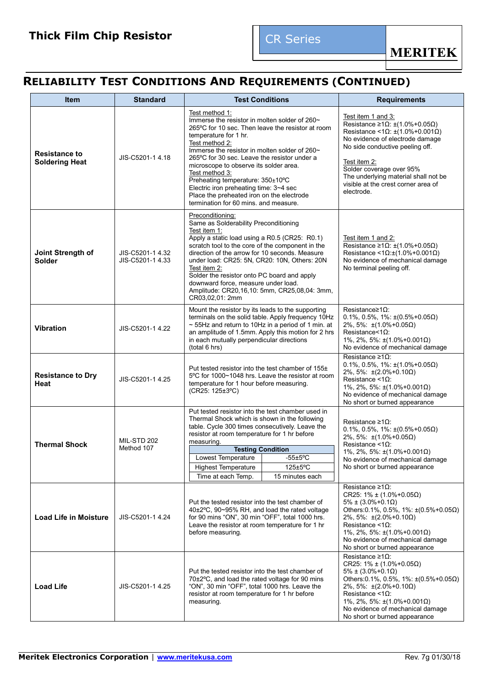# **RELIABILITY TEST CONDITIONS AND REQUIREMENTS (CONTINUED)**

| <b>Item</b>                                   | <b>Standard</b>                      | <b>Test Conditions</b>                                                                                                                                                                                                                                                                                                                                                                                                                                    |                                                                                                                                                                                                                                                                                                                                                                               | <b>Requirements</b>                                                                                                                                                                                                                                                                                                       |  |                                                                                                                                                                                                                                                                                                                                                                                                                                                                                                                                      |  |
|-----------------------------------------------|--------------------------------------|-----------------------------------------------------------------------------------------------------------------------------------------------------------------------------------------------------------------------------------------------------------------------------------------------------------------------------------------------------------------------------------------------------------------------------------------------------------|-------------------------------------------------------------------------------------------------------------------------------------------------------------------------------------------------------------------------------------------------------------------------------------------------------------------------------------------------------------------------------|---------------------------------------------------------------------------------------------------------------------------------------------------------------------------------------------------------------------------------------------------------------------------------------------------------------------------|--|--------------------------------------------------------------------------------------------------------------------------------------------------------------------------------------------------------------------------------------------------------------------------------------------------------------------------------------------------------------------------------------------------------------------------------------------------------------------------------------------------------------------------------------|--|
| <b>Resistance to</b><br><b>Soldering Heat</b> | JIS-C5201-1 4.18                     | Test method 1:<br>temperature for 1 hr.<br>Test method 2:<br>Test method 3:<br>Preheating temperature: 350±10°C                                                                                                                                                                                                                                                                                                                                           | Immerse the resistor in molten solder of 260~<br>265°C for 10 sec. Then leave the resistor at room<br>Immerse the resistor in molten solder of 260~<br>265°C for 30 sec. Leave the resistor under a<br>microscope to observe its solder area.<br>Electric iron preheating time: 3~4 sec<br>Place the preheated iron on the electrode<br>termination for 60 mins. and measure. |                                                                                                                                                                                                                                                                                                                           |  |                                                                                                                                                                                                                                                                                                                                                                                                                                                                                                                                      |  |
| Joint Strength of<br><b>Solder</b>            | JIS-C5201-1 4.32<br>JIS-C5201-1 4.33 | Preconditioning:<br>Same as Solderability Preconditioning<br>Test item 1:<br>Apply a static load using a R0.5 (CR25: R0.1)<br>scratch tool to the core of the component in the<br>direction of the arrow for 10 seconds. Measure<br>under load: CR25: 5N, CR20: 10N, Others: 20N<br>Test item 2:<br>Solder the resistor onto PC board and apply<br>downward force, measure under load.<br>Amplitude: CR20,16,10: 5mm, CR25,08,04: 3mm,<br>CR03.02.01: 2mm | Test item 1 and 2:<br>Resistance $\geq 1\Omega$ : $\pm (1.0\% + 0.05\Omega)$<br>Resistance <1 $\Omega$ : $\pm$ (1.0%+0.001 $\Omega$ )<br>No evidence of mechanical damage<br>No terminal peeling off.                                                                                                                                                                         |                                                                                                                                                                                                                                                                                                                           |  |                                                                                                                                                                                                                                                                                                                                                                                                                                                                                                                                      |  |
| <b>Vibration</b>                              | JIS-C5201-1 4.22                     | Mount the resistor by its leads to the supporting<br>terminals on the solid table. Apply frequency 10Hz<br>~ 55Hz and return to 10Hz in a period of 1 min. at<br>an amplitude of 1.5mm. Apply this motion for 2 hrs<br>in each mutually perpendicular directions<br>(total 6 hrs)                                                                                                                                                                         | Resistance $\geq 1\Omega$ :<br>$0.1\%$ , $0.5\%$ , $1\%$ : $\pm(0.5\% + 0.05\Omega)$<br>$2\%$ , 5%: $\pm(1.0\% + 0.05\Omega)$<br>Resistance<1 $\Omega$ :<br>1%, 2%, 5%: $\pm$ (1.0%+0.001 $\Omega$ )<br>No evidence of mechanical damage                                                                                                                                      |                                                                                                                                                                                                                                                                                                                           |  |                                                                                                                                                                                                                                                                                                                                                                                                                                                                                                                                      |  |
| <b>Resistance to Dry</b><br>Heat              | JIS-C5201-1 4.25                     | Resistance ≥1Ω:<br>$0.1\%$ , $0.5\%$ , $1\%$ : $\pm(1.0\% + 0.05\Omega)$<br>Put tested resistor into the test chamber of 155±<br>$2\%$ , 5%: $\pm(2.0\% + 0.10\Omega)$<br>5°C for 1000~1048 hrs. Leave the resistor at room<br>Resistance <1 $\Omega$ :<br>temperature for 1 hour before measuring.<br>1%, 2%, 5%: $\pm(1.0\% + 0.001\Omega)$<br>(CR25: 125±3°C)<br>No evidence of mechanical damage<br>No short or burned appearance                     |                                                                                                                                                                                                                                                                                                                                                                               |                                                                                                                                                                                                                                                                                                                           |  |                                                                                                                                                                                                                                                                                                                                                                                                                                                                                                                                      |  |
| <b>Thermal Shock</b>                          | <b>MIL-STD 202</b><br>Method 107     | Put tested resistor into the test chamber used in<br>Thermal Shock which is shown in the following<br>table. Cycle 300 times consecutively. Leave the<br>resistor at room temperature for 1 hr before<br>measuring.<br><b>Testing Condition</b><br>Lowest Temperature<br>$-55 \pm 5^{\circ}$ C<br>125±5°C<br><b>Highest Temperature</b><br>Time at each Temp.<br>15 minutes each                                                                          | Resistance ≥1Ω:<br>$0.1\%$ , $0.5\%$ , $1\%$ : $\pm(0.5\% + 0.05\Omega)$<br>$2\%$ , 5%: $\pm$ (1.0%+0.05 $\Omega$ )<br>Resistance $\leq 1\Omega$ :<br>1%, 2%, 5%: $±$ (1.0%+0.001Ω)<br>No evidence of mechanical damage<br>No short or burned appearance                                                                                                                      |                                                                                                                                                                                                                                                                                                                           |  |                                                                                                                                                                                                                                                                                                                                                                                                                                                                                                                                      |  |
| <b>Load Life in Moisture</b>                  | JIS-C5201-1 4.24                     | before measuring.                                                                                                                                                                                                                                                                                                                                                                                                                                         |                                                                                                                                                                                                                                                                                                                                                                               |                                                                                                                                                                                                                                                                                                                           |  | Resistance ≥1Ω:<br>CR25: $1\% \pm (1.0\% + 0.05\Omega)$<br>$5\% \pm (3.0\% + 0.1\Omega)$<br>Put the tested resistor into the test chamber of<br>Others: 0.1%, 0.5%, 1%: $\pm (0.5\% + 0.05\Omega)$<br>40±2°C, 90~95% RH, and load the rated voltage<br>for 90 mins "ON", 30 min "OFF", total 1000 hrs.<br>$2\%$ , 5%: $\pm(2.0\% + 0.10\Omega)$<br>Resistance <1 $\Omega$ :<br>Leave the resistor at room temperature for 1 hr<br>1%, 2%, 5%: $±$ (1.0%+0.001Ω)<br>No evidence of mechanical damage<br>No short or burned appearance |  |
| <b>Load Life</b>                              | JIS-C5201-1 4.25                     | Put the tested resistor into the test chamber of<br>70±2°C, and load the rated voltage for 90 mins<br>"ON", 30 min "OFF", total 1000 hrs. Leave the<br>resistor at room temperature for 1 hr before<br>measuring.                                                                                                                                                                                                                                         |                                                                                                                                                                                                                                                                                                                                                                               | Resistance ≥1Ω:<br>CR25: $1\% \pm (1.0\% + 0.05\Omega)$<br>$5\% \pm (3.0\% + 0.1\Omega)$<br>Others: 0.1%, 0.5%, 1%: $\pm (0.5\% + 0.05\Omega)$<br>$2\%$ , 5%: $\pm(2.0\% + 0.10\Omega)$<br>Resistance <1 $\Omega$ :<br>1%, 2%, 5%: $±$ (1.0%+0.001Ω)<br>No evidence of mechanical damage<br>No short or burned appearance |  |                                                                                                                                                                                                                                                                                                                                                                                                                                                                                                                                      |  |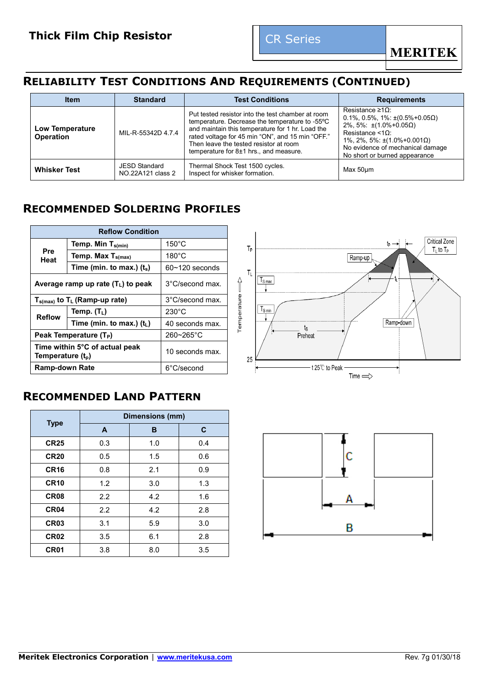# **RELIABILITY TEST CONDITIONS AND REQUIREMENTS (CONTINUED)**

| <b>Item</b>                         | <b>Standard</b>                           | <b>Test Conditions</b>                                                                                                                                                                                                                                                                              | <b>Requirements</b>                                                                                                                                                                                                                                              |
|-------------------------------------|-------------------------------------------|-----------------------------------------------------------------------------------------------------------------------------------------------------------------------------------------------------------------------------------------------------------------------------------------------------|------------------------------------------------------------------------------------------------------------------------------------------------------------------------------------------------------------------------------------------------------------------|
| Low Temperature<br><b>Operation</b> | MIL-R-55342D 4.7.4                        | Put tested resistor into the test chamber at room<br>temperature. Decrease the temperature to -55°C<br>and maintain this temperature for 1 hr. Load the<br>rated voltage for 45 min "ON", and 15 min "OFF."<br>Then leave the tested resistor at room<br>temperature for $8\pm1$ hrs., and measure. | Resistance $\geq 1\Omega$ :<br>$0.1\%$ , $0.5\%$ , $1\%$ : $\pm(0.5\% + 0.05\Omega)$<br>$2\%$ , 5%: $\pm$ (1.0%+0.05 $\Omega$ )<br>Resistance $\leq 10$ :<br>$1\%$ , 2%, 5%: ±(1.0%+0.001Ω)<br>No evidence of mechanical damage<br>No short or burned appearance |
| <b>Whisker Test</b>                 | <b>JESD Standard</b><br>NO.22A121 class 2 | Thermal Shock Test 1500 cycles.<br>Inspect for whisker formation.                                                                                                                                                                                                                                   | Max 50um                                                                                                                                                                                                                                                         |

# **RECOMMENDED SOLDERING PROFILES**

|                               | <b>Reflow Condition</b>              |                    |  |  |  |  |  |  |
|-------------------------------|--------------------------------------|--------------------|--|--|--|--|--|--|
|                               | Temp. Min $T_{s(min)}$               | $150^{\circ}$ C    |  |  |  |  |  |  |
| Pre<br>Heat                   | Temp. Max $T_{s(max)}$               | $180^{\circ}$ C    |  |  |  |  |  |  |
|                               | Time (min. to max.) $(t_s)$          | $60 - 120$ seconds |  |  |  |  |  |  |
|                               | Average ramp up rate $(T_L)$ to peak | 3°C/second max.    |  |  |  |  |  |  |
|                               | $T_{s(max)}$ to $T_L$ (Ramp-up rate) | 3°C/second max.    |  |  |  |  |  |  |
| <b>Reflow</b>                 | Temp. $(T_L)$                        | $230^{\circ}$ C    |  |  |  |  |  |  |
|                               | Time (min. to max.) $(t_L)$          | 40 seconds max.    |  |  |  |  |  |  |
|                               | Peak Temperature (T <sub>P</sub> )   | $260 - 265$ °C     |  |  |  |  |  |  |
| Temperature (t <sub>p</sub> ) | Time within 5°C of actual peak       | 10 seconds max.    |  |  |  |  |  |  |
| <b>Ramp-down Rate</b>         |                                      | 6°C/second         |  |  |  |  |  |  |

# **RECOMMENDED LAND PATTERN**

|                  |     | Dimensions (mm) |     |  |
|------------------|-----|-----------------|-----|--|
| <b>Type</b>      | A   | B               | C   |  |
| <b>CR25</b>      | 0.3 | 1.0             | 0.4 |  |
| <b>CR20</b>      | 0.5 | 1.5             | 0.6 |  |
| <b>CR16</b>      | 0.8 | 2.1             | 0.9 |  |
| <b>CR10</b>      | 1.2 | 3.0             | 1.3 |  |
| <b>CR08</b>      | 2.2 | 4.2             | 1.6 |  |
| CR <sub>04</sub> | 2.2 | 4.2             | 2.8 |  |
| CR <sub>03</sub> | 3.1 | 5.9             | 3.0 |  |
| <b>CR02</b>      | 3.5 | 6.1             | 2.8 |  |
| <b>CR01</b>      | 3.8 | 8.0             | 3.5 |  |



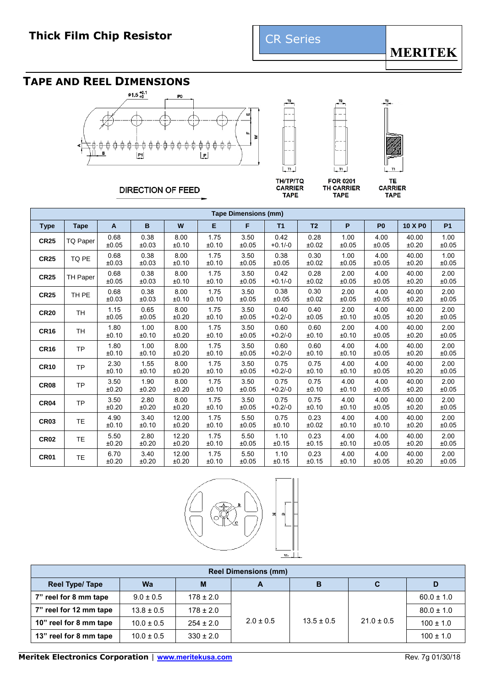# **TAPE AND REEL DIMENSIONS**





**TAPE** 



**DIRECTION OF FEED** 

**TH/TP/TQ CARRIER TAPE** 

TE **CARRIER TAPE** 

|             | <b>Tape Dimensions (mm)</b> |               |               |                |               |               |                   |                |               |                |                |               |
|-------------|-----------------------------|---------------|---------------|----------------|---------------|---------------|-------------------|----------------|---------------|----------------|----------------|---------------|
| <b>Type</b> | <b>Tape</b>                 | A             | B             | W              | Е             | F             | T1                | T <sub>2</sub> | P             | P <sub>0</sub> | 10 X P0        | <b>P1</b>     |
| <b>CR25</b> | TQ Paper                    | 0.68<br>±0.05 | 0.38<br>±0.03 | 8.00<br>±0.10  | 1.75<br>±0.10 | 3.50<br>±0.05 | 0.42<br>$+0.1/-0$ | 0.28<br>±0.02  | 1.00<br>±0.05 | 4.00<br>±0.05  | 40.00<br>±0.20 | 1.00<br>±0.05 |
| <b>CR25</b> | TQ PE                       | 0.68<br>±0.03 | 0.38<br>±0.03 | 8.00<br>±0.10  | 1.75<br>±0.10 | 3.50<br>±0.05 | 0.38<br>±0.05     | 0.30<br>±0.02  | 1.00<br>±0.05 | 4.00<br>±0.05  | 40.00<br>±0.20 | 1.00<br>±0.05 |
| <b>CR25</b> | <b>TH Paper</b>             | 0.68<br>±0.05 | 0.38<br>±0.03 | 8.00<br>±0.10  | 1.75<br>±0.10 | 3.50<br>±0.05 | 0.42<br>$+0.1/-0$ | 0.28<br>±0.02  | 2.00<br>±0.05 | 4.00<br>±0.05  | 40.00<br>±0.20 | 2.00<br>±0.05 |
| <b>CR25</b> | TH PE                       | 0.68<br>±0.03 | 0.38<br>±0.03 | 8.00<br>±0.10  | 1.75<br>±0.10 | 3.50<br>±0.05 | 0.38<br>±0.05     | 0.30<br>±0.02  | 2.00<br>±0.05 | 4.00<br>±0.05  | 40.00<br>±0.20 | 2.00<br>±0.05 |
| <b>CR20</b> | <b>TH</b>                   | 1.15<br>±0.05 | 0.65<br>±0.05 | 8.00<br>±0.20  | 1.75<br>±0.10 | 3.50<br>±0.05 | 0.40<br>$+0.2/-0$ | 0.40<br>±0.05  | 2.00<br>±0.10 | 4.00<br>±0.05  | 40.00<br>±0.20 | 2.00<br>±0.05 |
| <b>CR16</b> | <b>TH</b>                   | 1.80<br>±0.10 | 1.00<br>±0.10 | 8.00<br>±0.20  | 1.75<br>±0.10 | 3.50<br>±0.05 | 0.60<br>$+0.2/-0$ | 0.60<br>±0.10  | 2.00<br>±0.10 | 4.00<br>±0.05  | 40.00<br>±0.20 | 2.00<br>±0.05 |
| <b>CR16</b> | <b>TP</b>                   | 1.80<br>±0.10 | 1.00<br>±0.10 | 8.00<br>±0.20  | 1.75<br>±0.10 | 3.50<br>±0.05 | 0.60<br>$+0.2/-0$ | 0.60<br>±0.10  | 4.00<br>±0.10 | 4.00<br>±0.05  | 40.00<br>±0.20 | 2.00<br>±0.05 |
| <b>CR10</b> | <b>TP</b>                   | 2.30<br>±0.10 | 1.55<br>±0.10 | 8.00<br>±0.20  | 1.75<br>±0.10 | 3.50<br>±0.05 | 0.75<br>$+0.2/-0$ | 0.75<br>±0.10  | 4.00<br>±0.10 | 4.00<br>±0.05  | 40.00<br>±0.20 | 2.00<br>±0.05 |
| <b>CR08</b> | <b>TP</b>                   | 3.50<br>±0.20 | 1.90<br>±0.20 | 8.00<br>±0.20  | 1.75<br>±0.10 | 3.50<br>±0.05 | 0.75<br>$+0.2/-0$ | 0.75<br>±0.10  | 4.00<br>±0.10 | 4.00<br>±0.05  | 40.00<br>±0.20 | 2.00<br>±0.05 |
| <b>CR04</b> | <b>TP</b>                   | 3.50<br>±0.20 | 2.80<br>±0.20 | 8.00<br>±0.20  | 1.75<br>±0.10 | 3.50<br>±0.05 | 0.75<br>$+0.2/-0$ | 0.75<br>±0.10  | 4.00<br>±0.10 | 4.00<br>±0.05  | 40.00<br>±0.20 | 2.00<br>±0.05 |
| <b>CR03</b> | <b>TE</b>                   | 4.90<br>±0.10 | 3.40<br>±0.10 | 12.00<br>±0.20 | 1.75<br>±0.10 | 5.50<br>±0.05 | 0.75<br>±0.10     | 0.23<br>±0.02  | 4.00<br>±0.10 | 4.00<br>±0.10  | 40.00<br>±0.20 | 2.00<br>±0.05 |
| <b>CR02</b> | <b>TE</b>                   | 5.50<br>±0.20 | 2.80<br>±0.20 | 12.20<br>±0.20 | 1.75<br>±0.10 | 5.50<br>±0.05 | 1.10<br>±0.15     | 0.23<br>±0.15  | 4.00<br>±0.10 | 4.00<br>±0.05  | 40.00<br>±0.20 | 2.00<br>±0.05 |
| <b>CR01</b> | <b>TE</b>                   | 6.70<br>±0.20 | 3.40<br>±0.20 | 12.00<br>±0.20 | 1.75<br>±0.10 | 5.50<br>±0.05 | 1.10<br>±0.15     | 0.23<br>±0.15  | 4.00<br>±0.10 | 4.00<br>±0.05  | 40.00<br>±0.20 | 2.00<br>±0.05 |



| <b>Reel Dimensions (mm)</b> |                |               |               |                |                |                |  |  |  |  |  |
|-----------------------------|----------------|---------------|---------------|----------------|----------------|----------------|--|--|--|--|--|
| <b>Reel Type/ Tape</b>      | Wa             | м             | A             | в              | C              | D              |  |  |  |  |  |
| 7" reel for 8 mm tape       | $9.0 \pm 0.5$  | $178 \pm 2.0$ |               |                |                | $60.0 \pm 1.0$ |  |  |  |  |  |
| 7" reel for 12 mm tape      | $13.8 \pm 0.5$ | $178 \pm 2.0$ |               | $13.5 \pm 0.5$ | $21.0 \pm 0.5$ | $80.0 \pm 1.0$ |  |  |  |  |  |
| 10" reel for 8 mm tape      | $10.0 \pm 0.5$ | $254 \pm 2.0$ | $2.0 \pm 0.5$ |                |                | $100 \pm 1.0$  |  |  |  |  |  |
| 13" reel for 8 mm tape      | $10.0 \pm 0.5$ | $330 \pm 2.0$ |               |                |                | $100 \pm 1.0$  |  |  |  |  |  |

**Meritek Electronics Corporation** | **[www.meritekusa.com](http://www.meritekusa.com/)** Rev. 7g 01/30/18